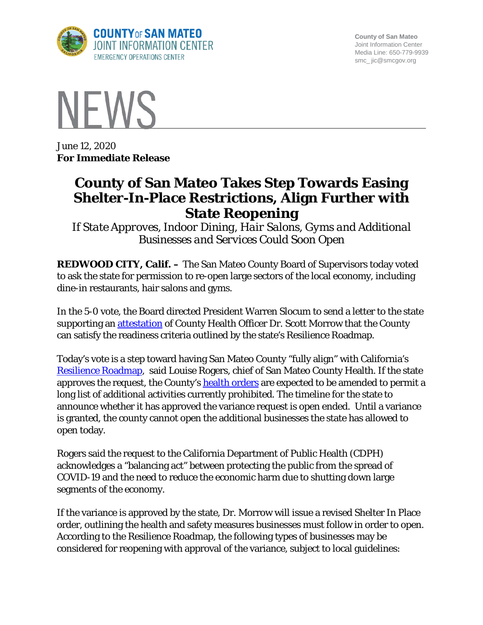

**County of San Mateo** Joint Information Center Media Line: 650-779-9939 smc\_ jic@smcgov.org



June 12, 2020 **For Immediate Release**

## **County of San Mateo Takes Step Towards Easing Shelter-In-Place Restrictions, Align Further with State Reopening**

*If State Approves, Indoor Dining, Hair Salons, Gyms and Additional Businesses and Services Could Soon Open*

**REDWOOD CITY, Calif. –** The San Mateo County Board of Supervisors today voted to ask the state for permission to re-open large sectors of the local economy, including dine-in restaurants, hair salons and gyms.

In the 5-0 vote, the Board directed President Warren Slocum to send a letter to the state supporting an **attestation** of County Health Officer Dr. Scott Morrow that the County can satisfy the readiness criteria outlined by the state's Resilience Roadmap.

Today's vote is a step toward having San Mateo County "fully align" with California's [Resilience Roadmap,](https://covid19.ca.gov/roadmap/) said Louise Rogers, chief of San Mateo County Health. If the state approves the request, the County's [health orders](https://www.smchealth.org/health-officer-orders-and-statements) are expected to be amended to permit a long list of additional activities currently prohibited. The timeline for the state to announce whether it has approved the variance request is open ended. Until a variance is granted, the county cannot open the additional businesses the state has allowed to open today.

Rogers said the request to the California Department of Public Health (CDPH) acknowledges a "balancing act" between protecting the public from the spread of COVID-19 and the need to reduce the economic harm due to shutting down large segments of the economy.

If the variance is approved by the state, Dr. Morrow will issue a revised Shelter In Place order, outlining the health and safety measures businesses must follow in order to open. According to the Resilience Roadmap, the following types of businesses may be considered for reopening with approval of the variance, subject to local guidelines: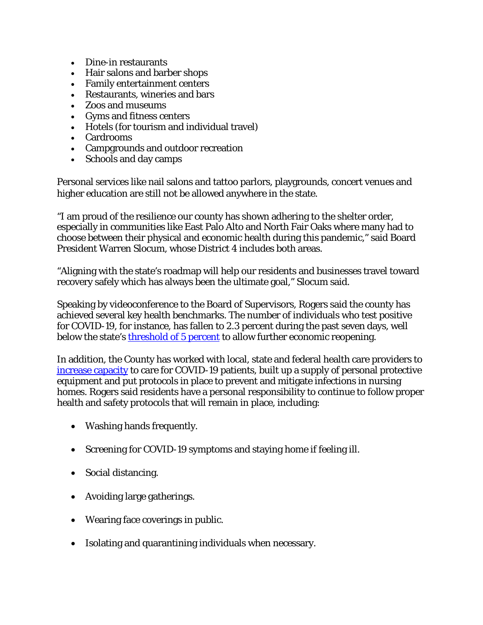- Dine-in restaurants
- Hair salons and barber shops
- Family entertainment centers
- Restaurants, wineries and bars
- Zoos and museums
- Gyms and fitness centers
- Hotels (for tourism and individual travel)
- Cardrooms
- Campgrounds and outdoor recreation
- Schools and day camps

Personal services like nail salons and tattoo parlors, playgrounds, concert venues and higher education are still not be allowed anywhere in the state.

"I am proud of the resilience our county has shown adhering to the shelter order, especially in communities like East Palo Alto and North Fair Oaks where many had to choose between their physical and economic health during this pandemic," said Board President Warren Slocum, whose District 4 includes both areas.

"Aligning with the state's roadmap will help our residents and businesses travel toward recovery safely which has always been the ultimate goal," Slocum said.

Speaking by videoconference to the Board of Supervisors, Rogers said the county has achieved several key health benchmarks. The number of individuals who test positive for COVID-19, for instance, has fallen to 2.3 percent during the past seven days, well below the state's [threshold of 5 percent](https://www.cdph.ca.gov/Programs/CID/DCDC/Pages/COVID-19/County_Variance_Attestation_Form.aspx) to allow further economic reopening.

In addition, the County has worked with local, state and federal health care providers to [increase capacity](https://www.smchealth.org/san-mateo-county-covid-19-and-other-health-data) to care for COVID-19 patients, built up a supply of personal protective equipment and put protocols in place to prevent and mitigate infections in nursing homes. Rogers said residents have a personal responsibility to continue to follow proper health and safety protocols that will remain in place, including:

- Washing hands frequently.
- Screening for COVID-19 symptoms and staying home if feeling ill.
- Social distancing.
- Avoiding large gatherings.
- Wearing face coverings in public.
- Isolating and quarantining individuals when necessary.